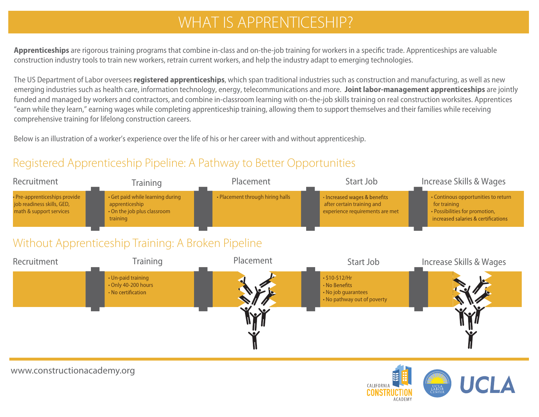# WHAT IS APPRENTICESHIP?

Apprenticeships are rigorous training programs that combine in-class and on-the-job traini construction industry tools to train new workers, retrain current workers, and help the indust

The US Department of Labor oversees **registered apprenticeships**, which span traditional if emerging industries such as health care, information technology, energy, telecommunication funded and managed by workers and contractors, and combine in-classroom learning with d "earn while they learn," earning wages while completing apprenticeship training, allowing th comprehensive training for lifelong construction careers.

Below is an illustration of a worker's experience over the life of his or her career with and with

## Registered Apprenticeship Pipeline: A Pathway to Better Opportunities